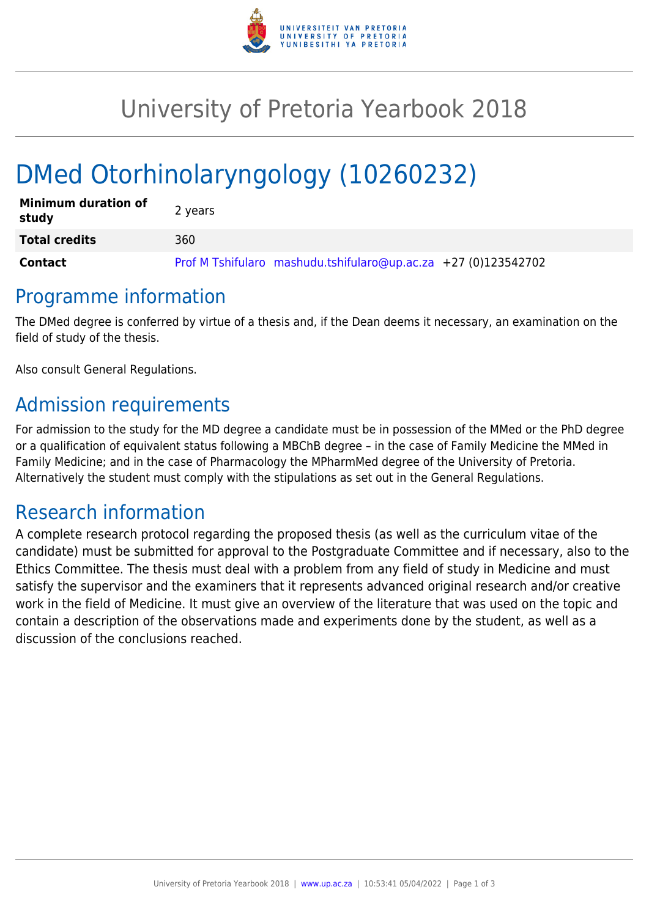

## University of Pretoria Yearbook 2018

# DMed Otorhinolaryngology (10260232)

| <b>Minimum duration of</b><br>study | 2 years                                                        |
|-------------------------------------|----------------------------------------------------------------|
| <b>Total credits</b>                | 360                                                            |
| Contact                             | Prof M Tshifularo mashudu.tshifularo@up.ac.za +27 (0)123542702 |

#### Programme information

The DMed degree is conferred by virtue of a thesis and, if the Dean deems it necessary, an examination on the field of study of the thesis.

Also consult General Regulations.

## Admission requirements

For admission to the study for the MD degree a candidate must be in possession of the MMed or the PhD degree or a qualification of equivalent status following a MBChB degree – in the case of Family Medicine the MMed in Family Medicine; and in the case of Pharmacology the MPharmMed degree of the University of Pretoria. Alternatively the student must comply with the stipulations as set out in the General Regulations.

#### Research information

A complete research protocol regarding the proposed thesis (as well as the curriculum vitae of the candidate) must be submitted for approval to the Postgraduate Committee and if necessary, also to the Ethics Committee. The thesis must deal with a problem from any field of study in Medicine and must satisfy the supervisor and the examiners that it represents advanced original research and/or creative work in the field of Medicine. It must give an overview of the literature that was used on the topic and contain a description of the observations made and experiments done by the student, as well as a discussion of the conclusions reached.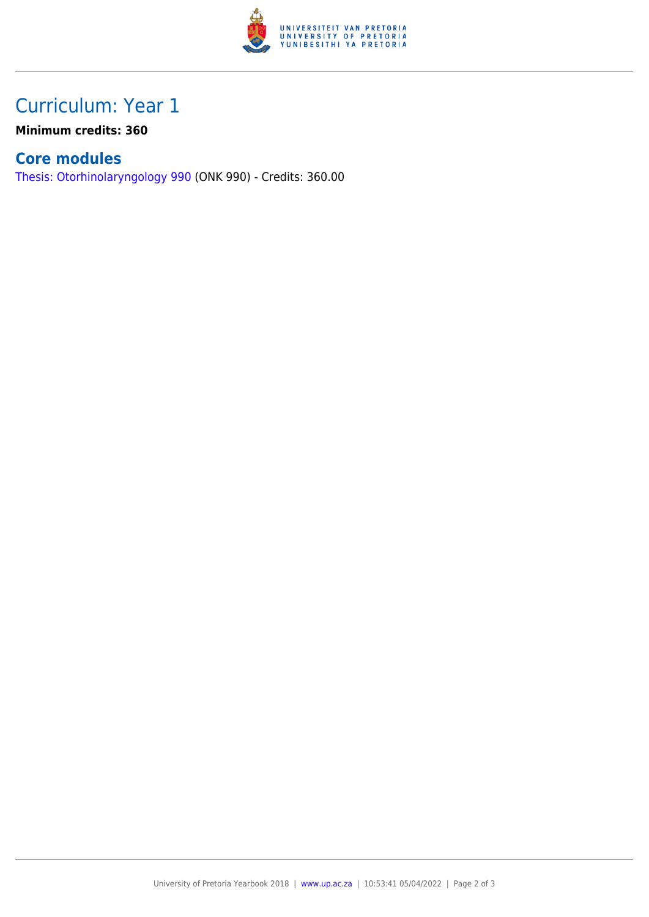

## Curriculum: Year 1

**Minimum credits: 360**

#### **Core modules**

[Thesis: Otorhinolaryngology 990](https://www.up.ac.za/yearbooks/2018/modules/view/ONK 990) (ONK 990) - Credits: 360.00